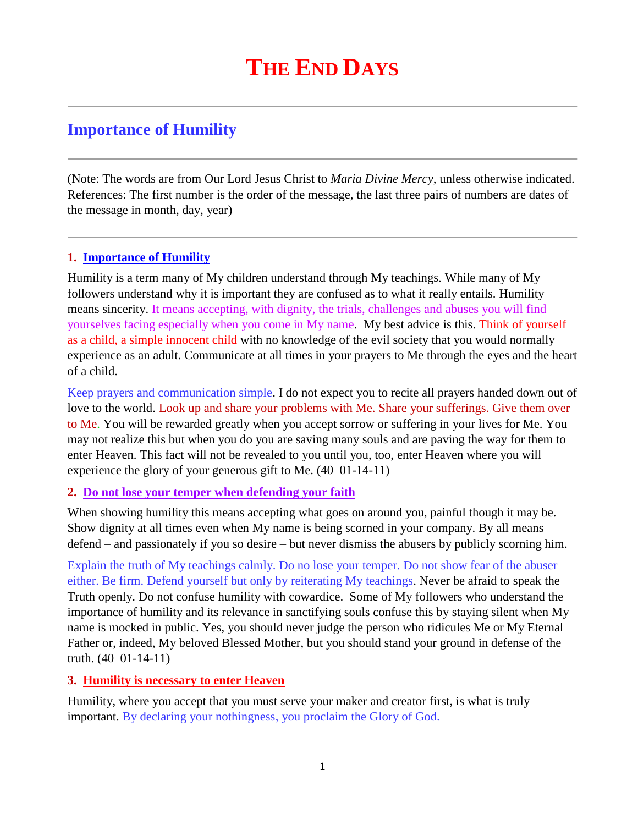# **Importance of Humility**

(Note: The words are from Our Lord Jesus Christ to *Maria Divine Mercy*, unless otherwise indicated. References: The first number is the order of the message, the last three pairs of numbers are dates of the message in month, day, year)

# **1. Importance of Humility**

Humility is a term many of My children understand through My teachings. While many of My followers understand why it is important they are confused as to what it really entails. Humility means sincerity. It means accepting, with dignity, the trials, challenges and abuses you will find yourselves facing especially when you come in My name. My best advice is this. Think of yourself as a child, a simple innocent child with no knowledge of the evil society that you would normally experience as an adult. Communicate at all times in your prayers to Me through the eyes and the heart of a child.

Keep prayers and communication simple. I do not expect you to recite all prayers handed down out of love to the world. Look up and share your problems with Me. Share your sufferings. Give them over to Me. You will be rewarded greatly when you accept sorrow or suffering in your lives for Me. You may not realize this but when you do you are saving many souls and are paving the way for them to enter Heaven. This fact will not be revealed to you until you, too, enter Heaven where you will experience the glory of your generous gift to Me. (40 01-14-11)

## **2. Do not lose your temper when defending your faith**

When showing humility this means accepting what goes on around you, painful though it may be. Show dignity at all times even when My name is being scorned in your company. By all means defend – and passionately if you so desire – but never dismiss the abusers by publicly scorning him.

Explain the truth of My teachings calmly. Do no lose your temper. Do not show fear of the abuser either. Be firm. Defend yourself but only by reiterating My teachings. Never be afraid to speak the Truth openly. Do not confuse humility with cowardice. Some of My followers who understand the importance of humility and its relevance in sanctifying souls confuse this by staying silent when My name is mocked in public. Yes, you should never judge the person who ridicules Me or My Eternal Father or, indeed, My beloved Blessed Mother, but you should stand your ground in defense of the truth. (40 01-14-11)

## **3. Humility is necessary to enter Heaven**

Humility, where you accept that you must serve your maker and creator first, is what is truly important. By declaring your nothingness, you proclaim the Glory of God.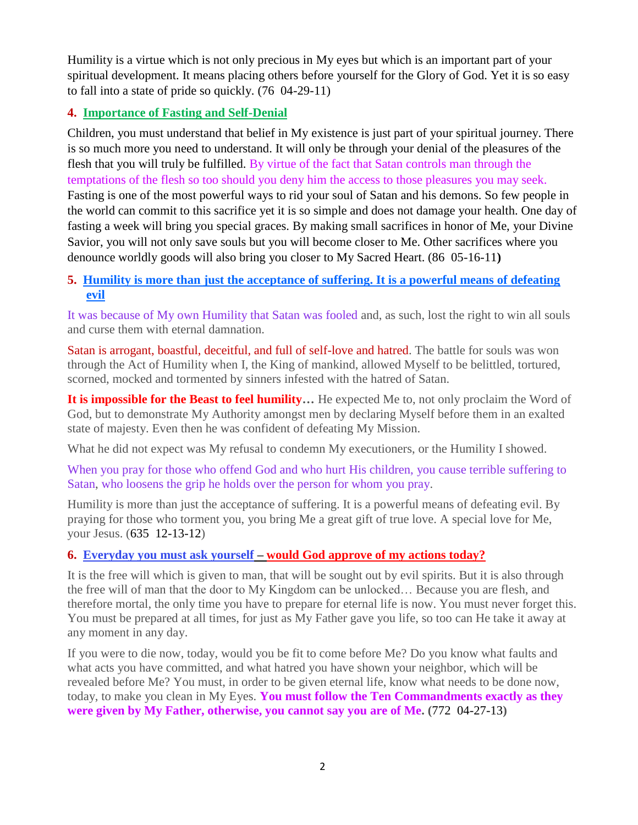Humility is a virtue which is not only precious in My eyes but which is an important part of your spiritual development. It means placing others before yourself for the Glory of God. Yet it is so easy to fall into a state of pride so quickly. (76 04-29-11)

# **4. [Importance of Fasting and Self-Denial](http://www.thewarningsecondcoming.com/importance-of-fasting-and-self-denial/)**

Children, you must understand that belief in My existence is just part of your spiritual journey. There is so much more you need to understand. It will only be through your denial of the pleasures of the flesh that you will truly be fulfilled. By virtue of the fact that Satan controls man through the temptations of the flesh so too should you deny him the access to those pleasures you may seek. Fasting is one of the most powerful ways to rid your soul of Satan and his demons. So few people in the world can commit to this sacrifice yet it is so simple and does not damage your health. One day of fasting a week will bring you special graces. By making small sacrifices in honor of Me, your Divine Savior, you will not only save souls but you will become closer to Me. Other sacrifices where you denounce worldly goods will also bring you closer to My Sacred Heart. (86 05-16-11**)**

# **5. [Humility is more than just the acceptance of suffering. It is a powerful means of defeating](http://www.thewarningsecondcoming.com/humility-is-more-than-just-the-acceptance-of-suffering-it-is-a-powerful-means-of-defeating-evil/)  [evil](http://www.thewarningsecondcoming.com/humility-is-more-than-just-the-acceptance-of-suffering-it-is-a-powerful-means-of-defeating-evil/)**

It was because of My own Humility that Satan was fooled and, as such, lost the right to win all souls and curse them with eternal damnation.

Satan is arrogant, boastful, deceitful, and full of self-love and hatred. The battle for souls was won through the Act of Humility when I, the King of mankind, allowed Myself to be belittled, tortured, scorned, mocked and tormented by sinners infested with the hatred of Satan.

**It is impossible for the Beast to feel humility…** He expected Me to, not only proclaim the Word of God, but to demonstrate My Authority amongst men by declaring Myself before them in an exalted state of majesty. Even then he was confident of defeating My Mission.

What he did not expect was My refusal to condemn My executioners, or the Humility I showed.

When you pray for those who offend God and who hurt His children, you cause terrible suffering to Satan, who loosens the grip he holds over the person for whom you pray.

Humility is more than just the acceptance of suffering. It is a powerful means of defeating evil. By praying for those who torment you, you bring Me a great gift of true love. A special love for Me, your Jesus. (635 12-13-12)

## **6. Everyday you must ask yourself – [would God approve of my actions today?](http://www.thewarningsecondcoming.com/every-day-you-must-ask-yourself-would-god-approve-of-my-actions-today/)**

It is the free will which is given to man, that will be sought out by evil spirits. But it is also through the free will of man that the door to My Kingdom can be unlocked… Because you are flesh, and therefore mortal, the only time you have to prepare for eternal life is now. You must never forget this. You must be prepared at all times, for just as My Father gave you life, so too can He take it away at any moment in any day.

If you were to die now, today, would you be fit to come before Me? Do you know what faults and what acts you have committed, and what hatred you have shown your neighbor, which will be revealed before Me? You must, in order to be given eternal life, know what needs to be done now, today, to make you clean in My Eyes. **You must follow the Ten Commandments exactly as they were given by My Father, otherwise, you cannot say you are of Me. (**772 04-27-13**)**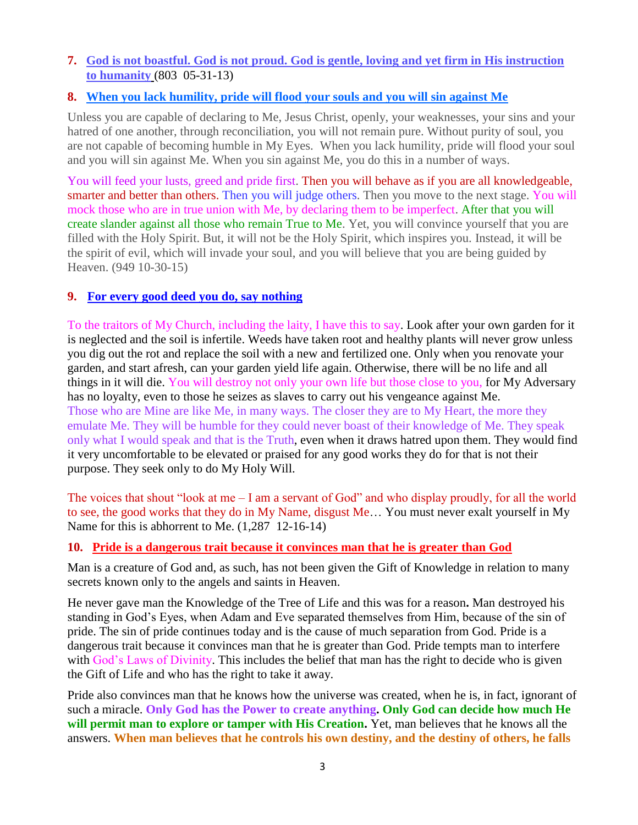## **7. [God is not boastful. God is not proud. God is gentle, loving and yet firm in His instruction](http://www.thewarningsecondcoming.com/god-is-not-boastful-god-is-not-proud-god-is-gentle-loving-and-yet-firm-in-his-instruction-to-humanity/)  [to humanity](http://www.thewarningsecondcoming.com/god-is-not-boastful-god-is-not-proud-god-is-gentle-loving-and-yet-firm-in-his-instruction-to-humanity/)** (803 05-31-13)

# **8. [When you lack humility, pride will flood your souls and you will sin against Me](http://www.thewarningsecondcoming.com/when-you-lack-humility-pride-will-flood-your-souls-and-you-will-sin-against-me/)**

Unless you are capable of declaring to Me, Jesus Christ, openly, your weaknesses, your sins and your hatred of one another, through reconciliation, you will not remain pure. Without purity of soul, you are not capable of becoming humble in My Eyes. When you lack humility, pride will flood your soul and you will sin against Me. When you sin against Me, you do this in a number of ways.

You will feed your lusts, greed and pride first. Then you will behave as if you are all knowledgeable, smarter and better than others. Then you will judge others. Then you move to the next stage. You will mock those who are in true union with Me, by declaring them to be imperfect. After that you will create slander against all those who remain True to Me. Yet, you will convince yourself that you are filled with the Holy Spirit. But, it will not be the Holy Spirit, which inspires you. Instead, it will be the spirit of evil, which will invade your soul, and you will believe that you are being guided by Heaven. (949 10-30-15)

## **9. [For every good deed you do, say nothing](http://www.thewarningsecondcoming.com/for-every-good-deed-you-do-say-nothing/)**

To the traitors of My Church, including the laity, I have this to say. Look after your own garden for it is neglected and the soil is infertile. Weeds have taken root and healthy plants will never grow unless you dig out the rot and replace the soil with a new and fertilized one. Only when you renovate your garden, and start afresh, can your garden yield life again. Otherwise, there will be no life and all things in it will die. You will destroy not only your own life but those close to you, for My Adversary has no loyalty, even to those he seizes as slaves to carry out his vengeance against Me. Those who are Mine are like Me, in many ways. The closer they are to My Heart, the more they emulate Me. They will be humble for they could never boast of their knowledge of Me. They speak only what I would speak and that is the Truth, even when it draws hatred upon them. They would find it very uncomfortable to be elevated or praised for any good works they do for that is not their purpose. They seek only to do My Holy Will.

The voices that shout "look at me – I am a servant of God" and who display proudly, for all the world to see, the good works that they do in My Name, disgust Me… You must never exalt yourself in My Name for this is abhorrent to Me. (1,287 12-16-14)

#### **10. [Pride is a dangerous trait because it convinces man that he is greater than God](http://www.thewarningsecondcoming.com/pride-is-a-dangerous-trait-because-it-convinces-man-that-he-is-greater-than-god/)**

Man is a creature of God and, as such, has not been given the Gift of Knowledge in relation to many secrets known only to the angels and saints in Heaven.

He never gave man the Knowledge of the Tree of Life and this was for a reason**.** Man destroyed his standing in God's Eyes, when Adam and Eve separated themselves from Him, because of the sin of pride. The sin of pride continues today and is the cause of much separation from God. Pride is a dangerous trait because it convinces man that he is greater than God. Pride tempts man to interfere with God's Laws of Divinity. This includes the belief that man has the right to decide who is given the Gift of Life and who has the right to take it away.

Pride also convinces man that he knows how the universe was created, when he is, in fact, ignorant of such a miracle. **Only God has the Power to create anything. Only God can decide how much He will permit man to explore or tamper with His Creation.** Yet, man believes that he knows all the answers. **When man believes that he controls his own destiny, and the destiny of others, he falls**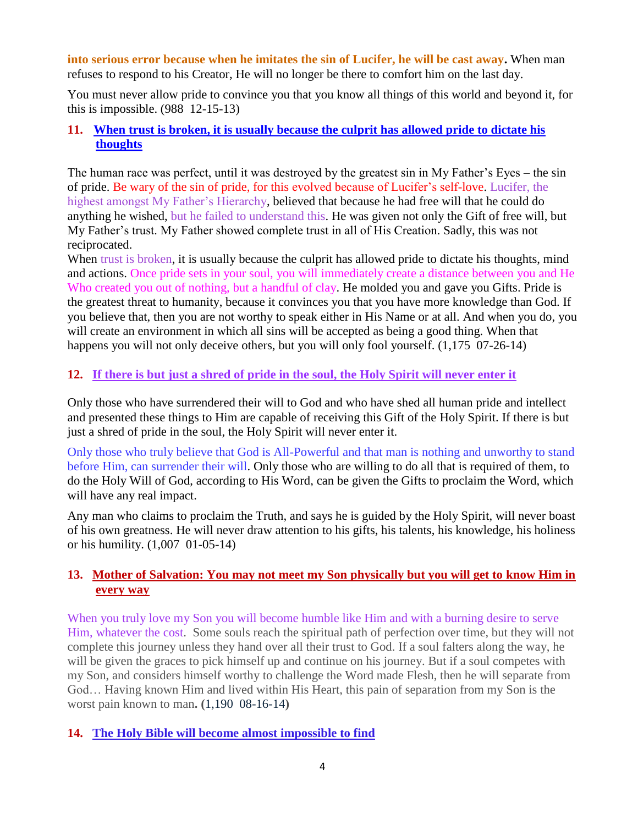**into serious error because when he imitates the sin of Lucifer, he will be cast away.** When man refuses to respond to his Creator, He will no longer be there to comfort him on the last day.

You must never allow pride to convince you that you know all things of this world and beyond it, for this is impossible. (988 12-15-13)

## **11. [When trust is broken, it is usually because the culprit has allowed pride to dictate his](http://www.thewarningsecondcoming.com/when-trust-is-broken-it-is-usually-because-the-culprit-has-allowed-pride-to-dictate-his-thoughts/)  [thoughts](http://www.thewarningsecondcoming.com/when-trust-is-broken-it-is-usually-because-the-culprit-has-allowed-pride-to-dictate-his-thoughts/)**

The human race was perfect, until it was destroyed by the greatest sin in My Father's Eyes – the sin of pride. Be wary of the sin of pride, for this evolved because of Lucifer's self-love. Lucifer, the highest amongst My Father's Hierarchy, believed that because he had free will that he could do anything he wished, but he failed to understand this. He was given not only the Gift of free will, but My Father's trust. My Father showed complete trust in all of His Creation. Sadly, this was not reciprocated.

When trust is broken, it is usually because the culprit has allowed pride to dictate his thoughts, mind and actions. Once pride sets in your soul, you will immediately create a distance between you and He Who created you out of nothing, but a handful of clay. He molded you and gave you Gifts. Pride is the greatest threat to humanity, because it convinces you that you have more knowledge than God. If you believe that, then you are not worthy to speak either in His Name or at all. And when you do, you will create an environment in which all sins will be accepted as being a good thing. When that happens you will not only deceive others, but you will only fool yourself. (1,175 07-26-14)

# **12. [If there is but just a shred of pride in the soul, the Holy Spirit will never enter it](http://www.thewarningsecondcoming.com/if-there-is-but-just-a-shred-of-pride-in-the-soul-the-holy-spirit-will-never-enter-it/)**

Only those who have surrendered their will to God and who have shed all human pride and intellect and presented these things to Him are capable of receiving this Gift of the Holy Spirit. If there is but just a shred of pride in the soul, the Holy Spirit will never enter it.

Only those who truly believe that God is All-Powerful and that man is nothing and unworthy to stand before Him, can surrender their will. Only those who are willing to do all that is required of them, to do the Holy Will of God, according to His Word, can be given the Gifts to proclaim the Word, which will have any real impact.

Any man who claims to proclaim the Truth, and says he is guided by the Holy Spirit, will never boast of his own greatness. He will never draw attention to his gifts, his talents, his knowledge, his holiness or his humility. (1,007 01-05-14)

# **13. [Mother of Salvation: You may not meet my Son physically but you will get to](http://www.thewarningsecondcoming.com/mother-of-salvation-you-may-not-meet-my-son-physically-but-you-will-get-to-know-him-in-every-way/) know Him in [every way](http://www.thewarningsecondcoming.com/mother-of-salvation-you-may-not-meet-my-son-physically-but-you-will-get-to-know-him-in-every-way/)**

When you truly love my Son you will become humble like Him and with a burning desire to serve Him, whatever the cost. Some souls reach the spiritual path of perfection over time, but they will not complete this journey unless they hand over all their trust to God. If a soul falters along the way, he will be given the graces to pick himself up and continue on his journey. But if a soul competes with my Son, and considers himself worthy to challenge the Word made Flesh, then he will separate from God… Having known Him and lived within His Heart, this pain of separation from my Son is the worst pain known to man**. (**1,190 08-16-14**)**

## **14. [The Holy Bible will become almost impossible to find](http://www.thewarningsecondcoming.com/the-holy-bible-will-become-almost-impossible-to-find/)**